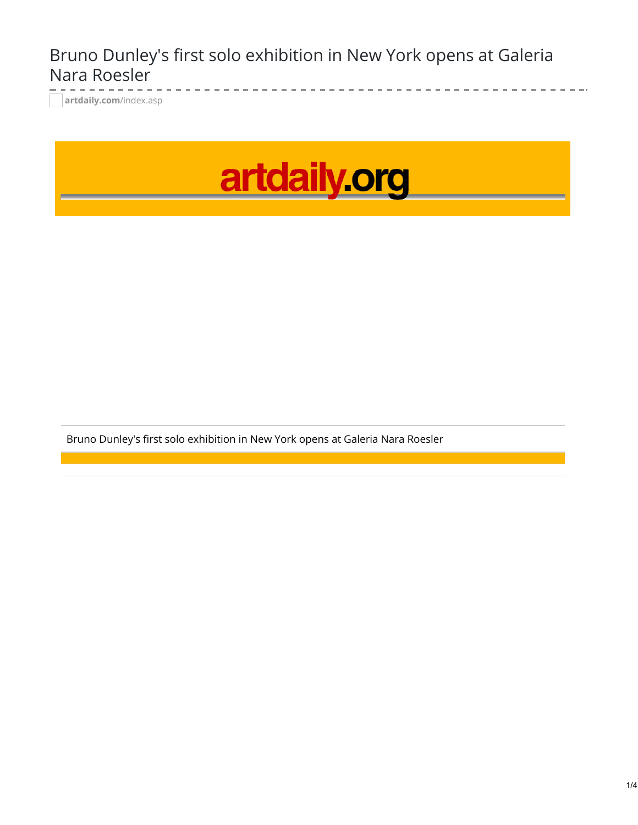## Bruno Dunley's first solo exhibition in New York opens at Galeria Nara Roesler

**[artdaily.com](http://artdaily.com/index.asp?int_sec=11&int_new=101809#.XJ1D7hiZNow)**/index.asp



Bruno Dunley's first solo exhibition in New York opens at Galeria Nara Roesler

 $\frac{1}{2}$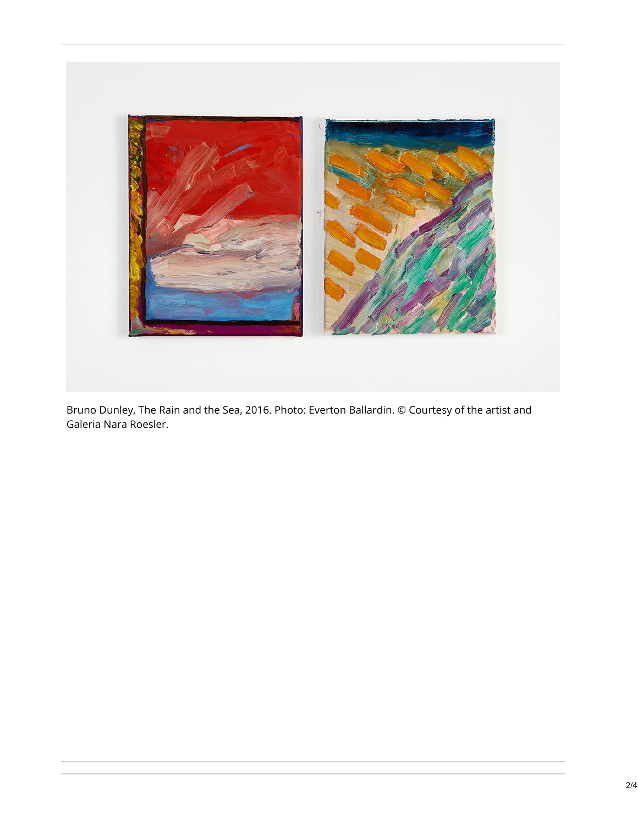

Bruno Dunley, The Rain and the Sea, 2016. Photo: Everton Ballardin. © Courtesy of the artist and Galeria Nara Roesler.